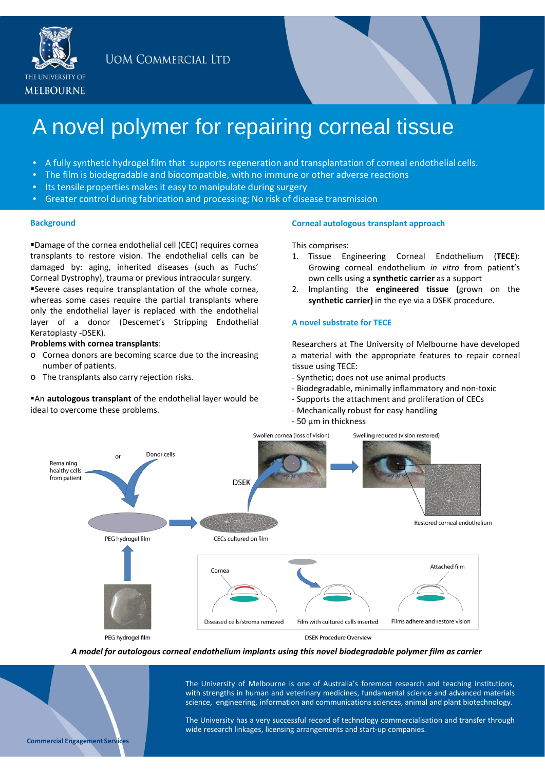**UOM COMMERCIAL LTD** 



# A novel polymer for repairing corneal tissue

- A fully synthetic hydrogel film that supports regeneration and transplantation of corneal endothelial cells.
- The film is biodegradable and biocompatible, with no immune or other adverse reactions
- Its tensile properties makes it easy to manipulate during surgery
- Greater control during fabrication and processing; No risk of disease transmission

#### **Background**

Damage of the cornea endothelial cell (CEC) requires cornea transplants to restore vision. The endothelial cells can be damaged by: aging, inherited diseases (such as Fuchs' Corneal Dystrophy), trauma or previous intraocular surgery. Severe cases require transplantation of the whole cornea, whereas some cases require the partial transplants where only the endothelial layer is replaced with the endothelial

layer of a donor (Descemet's Stripping Endothelial Keratoplasty -DSEK).

## **Problems with cornea transplants**:

- o Cornea donors are becoming scarce due to the increasing number of patients.
- o The transplants also carry rejection risks.

An **autologous transplant** of the endothelial layer would be ideal to overcome these problems.

#### **Corneal autologous transplant approach**

This comprises:

- 1. Tissue Engineering Corneal Endothelium (**TECE**): Growing corneal endothelium *in vitro* from patient's own cells using a **synthetic carrier** as a support
- 2. Implanting the **engineered tissue (**grown on the **synthetic carrier)** in the eye via a DSEK procedure.

#### **A novel substrate for TECE**

Researchers at The University of Melbourne have developed a material with the appropriate features to repair corneal tissue using TECE:

- Synthetic; does not use animal products
- Biodegradable, minimally inflammatory and non-toxic
- Supports the attachment and proliferation of CECs
- Mechanically robust for easy handling
- 50 µm in thickness



*A model for autologous corneal endothelium implants using this novel biodegradable polymer film as carrier*

The University of Melbourne is one of Australia's foremost research and teaching institutions, with strengths in human and veterinary medicines, fundamental science and advanced materials science, engineering, information and communications sciences, animal and plant biotechnology.

The University has a very successful record of technology commercialisation and transfer through wide research linkages, licensing arrangements and start-up companies.